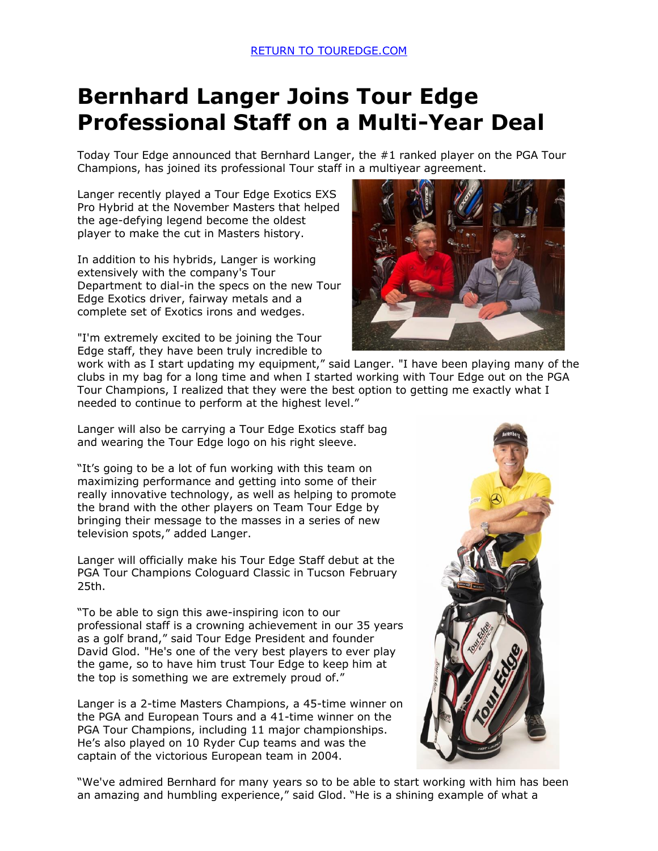## **Bernhard Langer Joins Tour Edge Professional Staff on a Multi-Year Deal**

Today Tour Edge announced that Bernhard Langer, the #1 ranked player on the PGA Tour Champions, has joined its professional Tour staff in a multiyear agreement.

Langer recently played a Tour Edge Exotics EXS Pro Hybrid at the November Masters that helped the age-defying legend become the oldest player to make the cut in Masters history.

In addition to his hybrids, Langer is working extensively with the company's Tour Department to dial-in the specs on the new Tour Edge Exotics driver, fairway metals and a complete set of Exotics irons and wedges.

"I'm extremely excited to be joining the Tour Edge staff, they have been truly incredible to



work with as I start updating my equipment," said Langer. "I have been playing many of the clubs in my bag for a long time and when I started working with Tour Edge out on the PGA Tour Champions, I realized that they were the best option to getting me exactly what I needed to continue to perform at the highest level."

Langer will also be carrying a Tour Edge Exotics staff bag and wearing the Tour Edge logo on his right sleeve.

"It's going to be a lot of fun working with this team on maximizing performance and getting into some of their really innovative technology, as well as helping to promote the brand with the other players on Team Tour Edge by bringing their message to the masses in a series of new television spots," added Langer.

Langer will officially make his Tour Edge Staff debut at the PGA Tour Champions Cologuard Classic in Tucson February 25th.

"To be able to sign this awe-inspiring icon to our professional staff is a crowning achievement in our 35 years as a golf brand," said Tour Edge President and founder David Glod. "He's one of the very best players to ever play the game, so to have him trust Tour Edge to keep him at the top is something we are extremely proud of."

Langer is a 2-time Masters Champions, a 45-time winner on the PGA and European Tours and a 41-time winner on the PGA Tour Champions, including 11 major championships. He's also played on 10 Ryder Cup teams and was the captain of the victorious European team in 2004.



"We've admired Bernhard for many years so to be able to start working with him has been an amazing and humbling experience," said Glod. "He is a shining example of what a